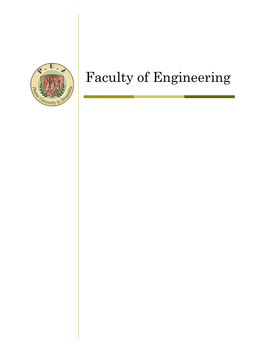

# Faculty of Engineering